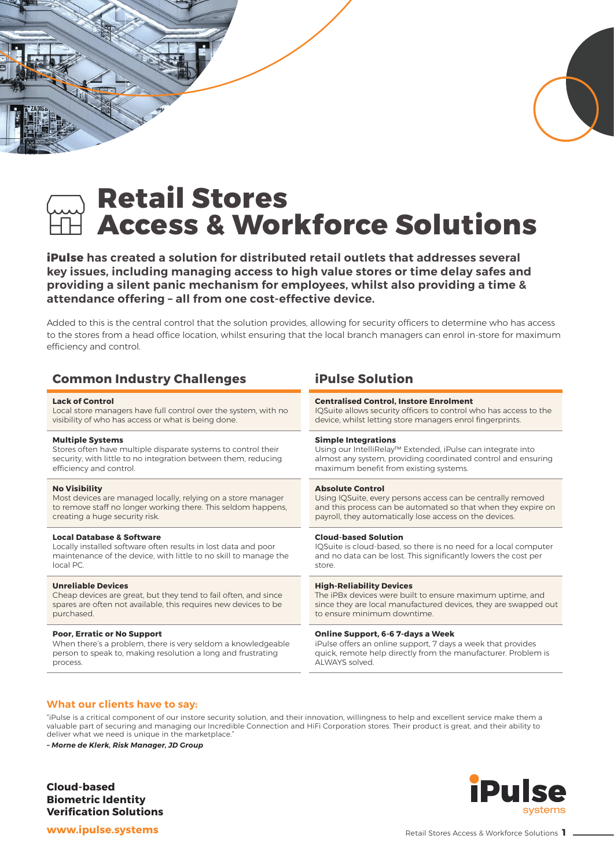# **Retail Stores Access & Workforce Solutions**

**iPulse has created a solution for distributed retail outlets that addresses several key issues, including managing access to high value stores or time delay safes and providing a silent panic mechanism for employees, whilst also providing a time & attendance offering – all from one cost-effective device.**

Added to this is the central control that the solution provides, allowing for security officers to determine who has access to the stores from a head office location, whilst ensuring that the local branch managers can enrol in-store for maximum efficiency and control.

| <b>Common Industry Challenges</b>                                | <b>iPulse Solution</b>                                            |
|------------------------------------------------------------------|-------------------------------------------------------------------|
| <b>Lack of Control</b>                                           | <b>Centralised Control, Instore Enrolment</b>                     |
| Local store managers have full control over the system, with no  | IQSuite allows security officers to control who has access to the |
| visibility of who has access or what is being done.              | device, whilst letting store managers enrol fingerprints.         |
| <b>Multiple Systems</b>                                          | <b>Simple Integrations</b>                                        |
| Stores often have multiple disparate systems to control their    | Using our IntelliRelay™ Extended, iPulse can integrate into       |
| security, with little to no integration between them, reducing   | almost any system, providing coordinated control and ensuring     |
| efficiency and control.                                          | maximum benefit from existing systems.                            |
| <b>No Visibility</b>                                             | <b>Absolute Control</b>                                           |
| Most devices are managed locally, relying on a store manager     | Using IQSuite, every persons access can be centrally removed      |
| to remove staff no longer working there. This seldom happens,    | and this process can be automated so that when they expire on     |
| creating a huge security risk.                                   | payroll, they automatically lose access on the devices.           |
| <b>Local Database &amp; Software</b>                             | <b>Cloud-based Solution</b>                                       |
| Locally installed software often results in lost data and poor   | IQSuite is cloud-based, so there is no need for a local computer  |
| maintenance of the device, with little to no skill to manage the | and no data can be lost. This significantly lowers the cost per   |
| local PC.                                                        | store.                                                            |
| <b>Unreliable Devices</b>                                        | <b>High-Reliability Devices</b>                                   |
| Cheap devices are great, but they tend to fail often, and since  | The iPBx devices were built to ensure maximum uptime, and         |
| spares are often not available, this requires new devices to be  | since they are local manufactured devices, they are swapped out   |
| purchased.                                                       | to ensure minimum downtime.                                       |
| <b>Poor, Erratic or No Support</b>                               | Online Support, 6-6 7-days a Week                                 |
| When there's a problem, there is very seldom a knowledgeable     | iPulse offers an online support, 7 days a week that provides      |
| person to speak to, making resolution a long and frustrating     | quick, remote help directly from the manufacturer. Problem is     |
| process.                                                         | ALWAYS solved.                                                    |
|                                                                  |                                                                   |

#### **What our clients have to say:**

"iPulse is a critical component of our instore security solution, and their innovation, willingness to help and excellent service make them a valuable part of securing and managing our Incredible Connection and HiFi Corporation stores. Their product is great, and their ability to deliver what we need is unique in the marketplace.

*– Morne de Klerk, Risk Manager, JD Group*

**Cloud-based Biometric Identity Verification Solutions**